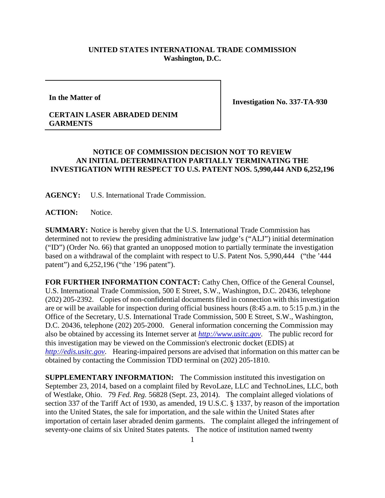## **UNITED STATES INTERNATIONAL TRADE COMMISSION Washington, D.C.**

**In the Matter of**

**Investigation No. 337-TA-930**

## **CERTAIN LASER ABRADED DENIM GARMENTS**

## **NOTICE OF COMMISSION DECISION NOT TO REVIEW AN INITIAL DETERMINATION PARTIALLY TERMINATING THE INVESTIGATION WITH RESPECT TO U.S. PATENT NOS. 5,990,444 AND 6,252,196**

**AGENCY:** U.S. International Trade Commission.

**ACTION:** Notice.

**SUMMARY:** Notice is hereby given that the U.S. International Trade Commission has determined not to review the presiding administrative law judge's ("ALJ") initial determination ("ID") (Order No. 66) that granted an unopposed motion to partially terminate the investigation based on a withdrawal of the complaint with respect to U.S. Patent Nos. 5,990,444 ("the '444 patent") and 6,252,196 ("the '196 patent").

**FOR FURTHER INFORMATION CONTACT:** Cathy Chen, Office of the General Counsel, U.S. International Trade Commission, 500 E Street, S.W., Washington, D.C. 20436, telephone (202) 205-2392. Copies of non-confidential documents filed in connection with this investigation are or will be available for inspection during official business hours (8:45 a.m. to 5:15 p.m.) in the Office of the Secretary, U.S. International Trade Commission, 500 E Street, S.W., Washington, D.C. 20436, telephone (202) 205-2000. General information concerning the Commission may also be obtained by accessing its Internet server at *[http://www.usitc.gov](http://www.usitc.gov/)*. The public record for this investigation may be viewed on the Commission's electronic docket (EDIS) at *[http://edis.usitc.gov](http://edis.usitc.gov/)*. Hearing-impaired persons are advised that information on this matter can be obtained by contacting the Commission TDD terminal on (202) 205-1810.

**SUPPLEMENTARY INFORMATION:** The Commission instituted this investigation on September 23, 2014, based on a complaint filed by RevoLaze, LLC and TechnoLines, LLC, both of Westlake, Ohio. 79 *Fed. Reg.* 56828 (Sept. 23, 2014). The complaint alleged violations of section 337 of the Tariff Act of 1930, as amended, 19 U.S.C. § 1337, by reason of the importation into the United States, the sale for importation, and the sale within the United States after importation of certain laser abraded denim garments. The complaint alleged the infringement of seventy-one claims of six United States patents. The notice of institution named twenty